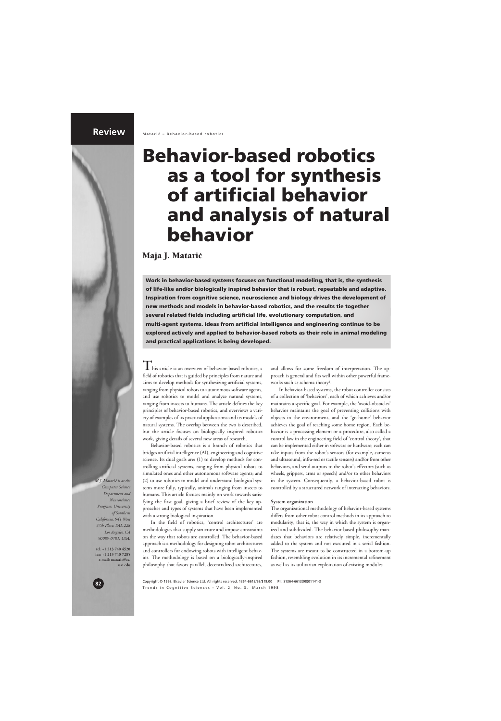# **Behavior-based robotics as a tool for synthesis of artificial behavior and analysis of natural behavior**

Maja J. Matarić

**Work in behavior-based systems focuses on functional modeling, that is, the synthesis of life-like and/or biologically inspired behavior that is robust, repeatable and adaptive. Inspiration from cognitive science, neuroscience and biology drives the development of new methods and models in behavior-based robotics, and the results tie together several related fields including artificial life, evolutionary computation, and multi-agent systems. Ideas from artificial intelligence and engineering continue to be explored actively and applied to behavior-based robots as their role in animal modeling and practical applications is being developed.**

**T**his article is an overview of behavior-based robotics, a field of robotics that is guided by principles from nature and aims to develop methods for synthesizing artificial systems, ranging from physical robots to autonomous software agents, and use robotics to model and analyze natural systems, ranging from insects to humans. The article defines the key principles of behavior-based robotics, and overviews a variety of examples of its practical applications and its models of natural systems. The overlap between the two is described, but the article focuses on biologically inspired robotics work, giving details of several new areas of research.

Behavior-based robotics is a branch of robotics that bridges artificial intelligence (AI), engineering and cognitive science. Its dual goals are: (1) to develop methods for controlling artificial systems, ranging from physical robots to simulated ones and other autonomous software agents; and (2) to use robotics to model and understand biological systems more fully, typically, animals ranging from insects to humans. This article focuses mainly on work towards satisfying the first goal, giving a brief review of the key approaches and types of systems that have been implemented with a strong biological inspiration.

In the field of robotics, 'control architectures' are methodologies that supply structure and impose constraints on the way that robots are controlled. The behavior-based approach is a methodology for designing robot architectures and controllers for endowing robots with intelligent behavior. The methodology is based on a biologically-inspired philosophy that favors parallel, decentralized architectures, and allows for some freedom of interpretation. The approach is general and fits well within other powerful frameworks such as schema theory<sup>1</sup>.

In behavior-based systems, the robot controller consists of a collection of 'behaviors', each of which achieves and/or maintains a specific goal. For example, the 'avoid-obstacles' behavior maintains the goal of preventing collisions with objects in the environment, and the 'go-home' behavior achieves the goal of reaching some home region. Each behavior is a processing element or a procedure, also called a control law in the engineering field of 'control theory', that can be implemented either in software or hardware; each can take inputs from the robot's sensors (for example, cameras and ultrasound, infra-red or tactile sensors) and/or from other behaviors, and send outputs to the robot's effectors (such as wheels, grippers, arms or speech) and/or to other behaviors in the system. Consequently, a behavior-based robot is controlled by a structured network of interacting behaviors.

#### **System organization**

The organizational methodology of behavior-based systems differs from other robot control methods in its approach to modularity, that is, the way in which the system is organized and subdivided. The behavior-based philosophy mandates that behaviors are relatively simple, incrementally added to the system and not executed in a serial fashion. The systems are meant to be constructed in a bottom-up fashion, resembling evolution in its incremental refinement as well as its utilitarian exploitation of existing modules.

*M.J. Matarić is at the Computer Science Department and Neuroscience Program, University of Southern California, 941 West 37th Place, SAL 228 Los Angeles, CA 90089-0781, USA.*

**tel: +1 213 740 4520 fax: +1 213 740 7285 e-mail: mataric@cs. usc.edu**

**82**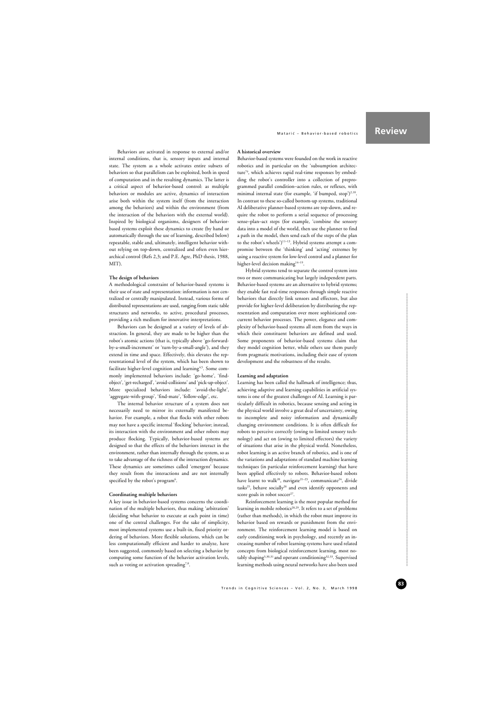Behaviors are activated in response to external and/or internal conditions, that is, sensory inputs and internal state. The system as a whole activates entire subsets of behaviors so that parallelism can be exploited, both in speed of computation and in the resulting dynamics. The latter is a critical aspect of behavior-based control: as multiple behaviors or modules are active, dynamics of interaction arise both within the system itself (from the interaction among the behaviors) and within the environment (from the interaction of the behaviors with the external world). Inspired by biological organisms, designers of behaviorbased systems exploit these dynamics to create (by hand or automatically through the use of learning, described below) repeatable, stable and, ultimately, intelligent behavior without relying on top-down, centralized and often even hierarchical control (Refs 2,3; and P.E. Agre, PhD thesis, 1988, MIT).

#### **The design of behaviors**

A methodological constraint of behavior-based systems is their use of state and representation: information is not centralized or centrally manipulated. Instead, various forms of distributed representations are used, ranging from static table structures and networks, to active, procedural processes, providing a rich medium for innovative interpretations.

Behaviors can be designed at a variety of levels of abstraction. In general, they are made to be higher than the robot's atomic actions (that is, typically above 'go-forwardby-a-small-increment' or 'turn-by-a-small-angle'), and they extend in time and space. Effectively, this elevates the representational level of the system, which has been shown to facilitate higher-level cognition and learning<sup>4,5</sup>. Some commonly implemented behaviors include: 'go-home', 'findobject', 'get-recharged', 'avoid-collisions' and 'pick-up-object'. More specialized behaviors include: 'avoid-the-light', 'aggregate-with-group', 'find-mate', 'follow-edge', etc.

The internal behavior structure of a system does not necessarily need to mirror its externally manifested behavior. For example, a robot that flocks with other robots may not have a specific internal 'flocking' behavior; instead, its interaction with the environment and other robots may produce flocking. Typically, behavior-based systems are designed so that the effects of the behaviors interact in the environment, rather than internally through the system, so as to take advantage of the richness of the interaction dynamics. These dynamics are sometimes called 'emergent' because they result from the interactions and are not internally specified by the robot's program<sup>6</sup>.

#### **Coordinating multiple behaviors**

A key issue in behavior-based systems concerns the coordination of the multiple behaviors, thus making 'arbitration' (deciding what behavior to execute at each point in time) one of the central challenges. For the sake of simplicity, most implemented systems use a built-in, fixed priority ordering of behaviors. More flexible solutions, which can be less computationally efficient and harder to analyze, have been suggested, commonly based on selecting a behavior by computing some function of the behavior activation levels, such as voting or activation spreading<sup>7,8</sup>.

#### **A historical overview**

Behavior-based systems were founded on the work in reactive robotics and in particular on the 'subsumption architecture'9 , which achieves rapid real-time responses by embedding the robot's controller into a collection of preprogrammed parallel condition–action rules, or reflexes, with minimal internal state (for example, 'if bumped,  $stop$ )<sup>2,10</sup>. In contrast to these so-called bottom-up systems, traditional AI deliberative planner-based systems are top-down, and require the robot to perform a serial sequence of processing sense–plan–act steps (for example, 'combine the sensory data into a model of the world, then use the planner to find a path in the model, then send each of the steps of the plan to the robot's wheels')<sup>11-13</sup>. Hybrid systems attempt a compromise between the 'thinking' and 'acting' extremes by using a reactive system for low-level control and a planner for higher-level decision making<sup>14-19</sup>.

Hybrid systems tend to separate the control system into two or more communicating but largely independent parts. Behavior-based systems are an alternative to hybrid systems; they enable fast real-time responses through simple reactive behaviors that directly link sensors and effectors, but also provide for higher-level deliberation by distributing the representation and computation over more sophisticated concurrent behavior processes. The power, elegance and complexity of behavior-based systems all stem from the ways in which their constituent behaviors are defined and used. Some proponents of behavior-based systems claim that they model cognition better, while others use them purely from pragmatic motivations, including their ease of system development and the robustness of the results.

#### **Learning and adaptation**

Learning has been called the hallmark of intelligence; thus, achieving adaptive and learning capabilities in artificial systems is one of the greatest challenges of AI. Learning is particularly difficult in robotics, because sensing and acting in the physical world involve a great deal of uncertainty, owing to incomplete and noisy information and dynamically changing environment conditions. It is often difficult for robots to perceive correctly (owing to limited sensory technology) and act on (owing to limited effectors) the variety of situations that arise in the physical world. Nonetheless, robot learning is an active branch of robotics, and is one of the variations and adaptations of standard machine learning techniques (in particular reinforcement learning) that have been applied effectively to robots. Behavior-based robots have learnt to walk<sup>20</sup>, navigate<sup>21-23</sup>, communicate<sup>24</sup>, divide tasks<sup>25</sup>, behave socially<sup>26</sup> and even identify opponents and score goals in robot soccer<sup>27</sup>.

Reinforcement learning is the most popular method for learning in mobile robotics<sup>28,29</sup>. It refers to a set of problems (rather than methods), in which the robot must improve its behavior based on rewards or punishment from the environment. The reinforcement learning model is based on early conditioning work in psychology, and recently an increasing number of robot learning systems have used related concepts from biological reinforcement learning, most notably shaping<sup>5,30,31</sup> and operant conditioning<sup>32,33</sup>. Supervised learning methods using neural networks have also been used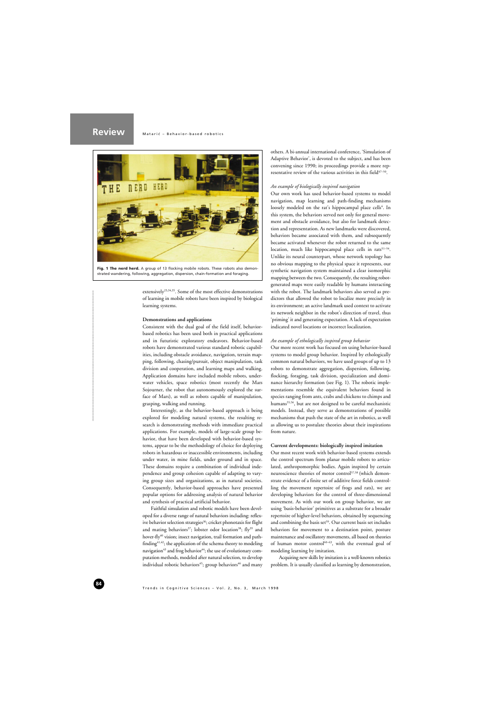

Fig. 1 The nerd herd. A group of 13 flocking mobile robots. These robots also demonstrated wandering, following, aggregation, dispersion, chain-formation and foraging.

extensively<sup>23,34,35</sup>. Some of the most effective demonstrations of learning in mobile robots have been inspired by biological learning systems.

#### **Demonstrations and applications**

Consistent with the dual goal of the field itself, behaviorbased robotics has been used both in practical applications and in futuristic exploratory endeavors. Behavior-based robots have demonstrated various standard robotic capabilities, including obstacle avoidance, navigation, terrain mapping, following, chasing/pursuit, object manipulation, task division and cooperation, and learning maps and walking. Application domains have included mobile robots, underwater vehicles, space robotics (most recently the Mars Sojourner, the robot that autonomously explored the surface of Mars), as well as robots capable of manipulation, grasping, walking and running.

Interestingly, as the behavior-based approach is being explored for modeling natural systems, the resulting research is demonstrating methods with immediate practical applications. For example, models of large-scale group behavior, that have been developed with behavior-based systems, appear to be the methodology of choice for deploying robots in hazardous or inaccessible environments, including under water, in mine fields, under ground and in space. These domains require a combination of individual independence and group cohesion capable of adapting to varying group sizes and organizations, as in natural societies. Consequently, behavior-based approaches have presented popular options for addressing analysis of natural behavior and synthesis of practical artificial behavior.

Faithful simulation and robotic models have been developed for a diverse range of natural behaviors including: reflexive behavior selection strategies<sup>36</sup>; cricket phonotaxis for flight and mating behaviors<sup>37</sup>; lobster odor location<sup>38</sup>; fly<sup>39</sup> and hover-fly<sup>40</sup> vision; insect navigation, trail formation and pathfinding $41,42$ ; the application of the schema theory to modeling navigation<sup>43</sup> and frog behavior<sup>44</sup>; the use of evolutionary computation methods, modeled after natural selection, to develop individual robotic behaviors<sup>45</sup>; group behaviors<sup>46</sup> and many others. A bi-annual international conference, 'Simulation of Adaptive Behavior', is devoted to the subject, and has been convening since 1990; its proceedings provide a more representative review of the various activities in this field<sup>47-50</sup>.

### *An example of biologically inspired navigation*

Our own work has used behavior-based systems to model navigation, map learning and path-finding mechanisms loosely modeled on the rat's hippocampal place cells<sup>4</sup>. In this system, the behaviors served not only for general movement and obstacle avoidance, but also for landmark detection and representation. As new landmarks were discovered, behaviors became associated with them, and subsequently became activated whenever the robot returned to the same location, much like hippocampal place cells in rats<sup>51-54</sup>. Unlike its neural counterpart, whose network topology has no obvious mapping to the physical space it represents, our synthetic navigation system maintained a clear isomorphic mapping between the two. Consequently, the resulting robotgenerated maps were easily readable by humans interacting with the robot. The landmark behaviors also served as predictors that allowed the robot to localize more precisely in its environment; an active landmark used context to activate its network neighbor in the robot's direction of travel, thus 'priming' it and generating expectation. A lack of expectation indicated novel locations or incorrect localization.

#### *An example of ethologically inspired group behavior*

Our more recent work has focused on using behavior-based systems to model group behavior. Inspired by ethologically common natural behaviors, we have used groups of up to 13 robots to demonstrate aggregation, dispersion, following, flocking, foraging, task division, specialization and dominance hierarchy formation (see Fig. 1). The robotic implementations resemble the equivalent behaviors found in species ranging from ants, crabs and chickens to chimps and humans<sup>55,56</sup>, but are not designed to be careful mechanistic models. Instead, they serve as demonstrations of possible mechanisms that push the state of the art in robotics, as well as allowing us to postulate theories about their inspirations from nature.

#### **Current developments: biologically inspired imitation**

Our most recent work with behavior-based systems extends the control spectrum from planar mobile robots to articulated, anthropomorphic bodies. Again inspired by certain neuroscience theories of motor control<sup>57,58</sup> (which demonstrate evidence of a finite set of additive force fields controlling the movement repertoire of frogs and rats), we are developing behaviors for the control of three-dimensional movement. As with our work on group behavior, we are using 'basis-behavior' primitives as a substrate for a broader repertoire of higher-level behaviors, obtained by sequencing and combining the basis set<sup>59</sup>. Our current basis set includes behaviors for movement to a destination point, posture maintenance and oscillatory movements, all based on theories of human motor control<sup>60-63</sup>, with the eventual goal of modeling learning by imitation.

Acquiring new skills by imitation is a well-known robotics problem. It is usually classified as learning by demonstration,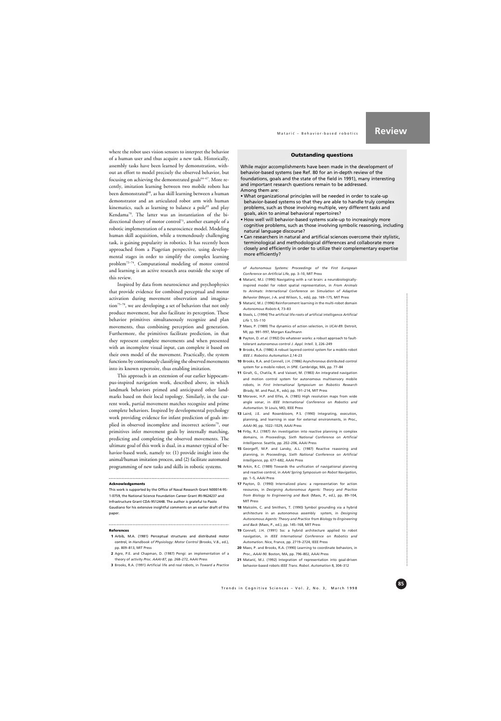where the robot uses vision sensors to interpret the behavior of a human user and thus acquire a new task. Historically, assembly tasks have been learned by demonstration, without an effort to model precisely the observed behavior, but focusing on achieving the demonstrated goals<sup>64-67</sup>. More recently, imitation learning between two mobile robots has been demonstrated<sup>68</sup>, as has skill learning between a human demonstrator and an articulated robot arm with human kinematics, such as learning to balance a pole<sup>69</sup> and play Kendama70. The latter was an instantiation of the bidirectional theory of motor control<sup>71</sup>, another example of a robotic implementation of a neuroscience model. Modeling human skill acquisition, while a tremendously challenging task, is gaining popularity in robotics. It has recently been approached from a Piagetian perspective, using developmental stages in order to simplify the complex learning problem72–74. Computational modeling of motor control and learning is an active research area outside the scope of this review.

Inspired by data from neuroscience and psychophysics that provide evidence for combined perceptual and motor activation during movement observation and imagination75–78, we are developing a set of behaviors that not only produce movement, but also facilitate its perception. These behavior primitives simultaneously recognize and plan movements, thus combining perception and generation. Furthermore, the primitives facilitate prediction, in that they represent complete movements and when presented with an incomplete visual input, can complete it based on their own model of the movement. Practically, the system functions by continuously classifying the observed movements into its known repertoire, thus enabling imitation.

This approach is an extension of our earlier hippocampus-inspired navigation work, described above, in which landmark behaviors primed and anticipated other landmarks based on their local topology. Similarly, in the current work, partial movement matches recognize and prime complete behaviors. Inspired by developmental psychology work providing evidence for infant prediction of goals implied in observed incomplete and incorrect actions<sup>79</sup>, our primitives infer movement goals by internally matching, predicting and completing the observed movements. The ultimate goal of this work is dual, in a manner typical of behavior-based work, namely to: (1) provide insight into the animal/human imitation process, and (2) facilitate automated programming of new tasks and skills in robotic systems.

#### **Acknowledgements**

This work is supported by the Office of Naval Research Grant N00014-95- 1-0759, the National Science Foundation Career Grant IRI-9624237 and Infrastructure Grant CDA-9512448. The author is grateful to Paolo Gaudiano for his extensive insightful comments on an earlier draft of this paper.

#### **References**

**1** Arbib, M.A. (1981) Perceptual structures and distributed motor control, in *Handbook of Physiology*: *Motor Control* (Brooks, V.B., ed.), pp. 809–813, MIT Press

- **2** Agre, P.E. and Chapman, D. (1987) Pengi: an implementation of a theory of activity *Proc. AAAI-87*, pp. 268–272, AAAI Press
- **3** Brooks, R.A. (1991) Artificial life and real robots, in *Toward a Practice*

#### **Outstanding questions**

While major accomplishments have been made in the development of behavior-based systems (see Ref. 80 for an in-depth review of the foundations, goals and the state of the field in 1991), many interesting and important research questions remain to be addressed. Among them are:

- What organizational principles will be needed in order to scale-up behavior-based systems so that they are able to handle truly complex problems, such as those involving multiple, very different tasks and goals, akin to animal behavioral repertoires?
- How well will behavior-based systems scale-up to increasingly more cognitive problems, such as those involving symbolic reasoning, including natural language discourse?
- Can researchers in natural and artificial sciences overcome their stylistic, terminological and methodological differences and collaborate more closely and efficiently in order to utilize their complementary expertise more efficiently?

*of Autonomous Systems: Proceedings of the First European Conference on Artificial Life,* pp. 3–10, MIT Press

- 4 Matarić, M.J. (1990) Navigating with a rat brain: a neurobiologicallyinspired model for robot spatial representation, in *From Animals to Animats: International Conference on Simulation of Adaptive Behavior* (Meyer, J-A. and Wilson, S., eds), pp. 169–175, MIT Press
- **5** Matarić, M.J. (1996) Reinforcement learning in the multi-robot domain *Autonomous Robots* 4, 73–83
- **6** Steels, L. (1994) The artificial life roots of artificial intelligence *Artificial Life* 1, 55–110
- **7** Maes, P. (1989) The dynamics of action selection, in *IJCAI-89*. Detroit, MI, pp. 991–997, Morgan Kaufmann
- **8** Payton, D. *et al.* (1992) Do whatever works: a robust approach to faulttolerant autonomous control *J. Appl. Intell.* 3, 226–249
- **9** Brooks, R.A. (1986) A robust layered control system for a mobile robot *IEEE J. Robotics Automation* 2,14–23
- **10** Brooks, R.A. and Connell, J.H. (1986) Asynchronous distributed control system for a mobile robot, in *SPIE*. Cambridge, MA, pp. 77–84
- **11** Giralt, G., Chatila, R. and Vaisset, M. (1983) An integrated navigation and motion control system for autonomous multisensory mobile robots, in *First International Symposium on Robotics Research* (Brady, M. and Paul, R., eds), pp. 191–214, MIT Press
- **12** Moravec, H.P. and Elfes, A. (1985) High resolution maps from wide angle sonar, in *IEEE International Conference on Robotics and Automation*. St Louis, MO, IEEE Press
- **13** Laird, J.E. and Rosenbloom, P.S. (1990) Integrating, execution, planning, and learning in soar for external environments, in *Proc., AAAI-90*, pp. 1022–1029, AAAI Press
- **14** Firby, R.J. (1987) An investigation into reactive planning in complex domains, in *Proceedings, Sixth National Conference on Artificial Intelligence*. Seattle, pp. 202–206, AAAI Press
- **15** Georgeff, M.P. and Lansky, A.L. (1987) Reactive reasoning and planning, in *Proceedings, Sixth National Conference on Artificial Intelligence*, pp. 677–682, AAAI Press
- **16** Arkin, R.C. (1989) Towards the unification of navigational planning and reactive control, in *AAAI Spring Symposium on Robot Navigation*, pp. 1–5, AAAI Press
- **17** Payton, D. (1990) Internalized plans: a representation for action resources, in *Designing Autonomous Agents: Theory and Practice from Biology to Engineering and Back* (Maes, P., ed.), pp. 89–104, MIT Press
- **18** Malcolm, C. and Smithers, T. (1990) Symbol grounding via a hybrid architecture in an autonomous assembly system, in *Designing Autonomous Agents: Theory and Practice from Biology to Engineering and Back* (Maes, P., ed.), pp. 145–168, MIT Press
- **19** Connell, J.H. (1991) Sss: a hybrid architecture applied to robot navigation, in *IEEE International Conference on Robotics and Automation*. Nice, France, pp. 2719–2724, IEEE Press
- **20** Maes, P. and Brooks, R.A. (1990) Learning to coordinate behaviors, in *Proc., AAAI-90*. Boston, MA, pp. 796–802, AAAI Press
- 21 Matarić, M.J. (1992) Integration of representation into goal-driven behavior-based robots *IEEE Trans. Robot. Automation* 8, 304–312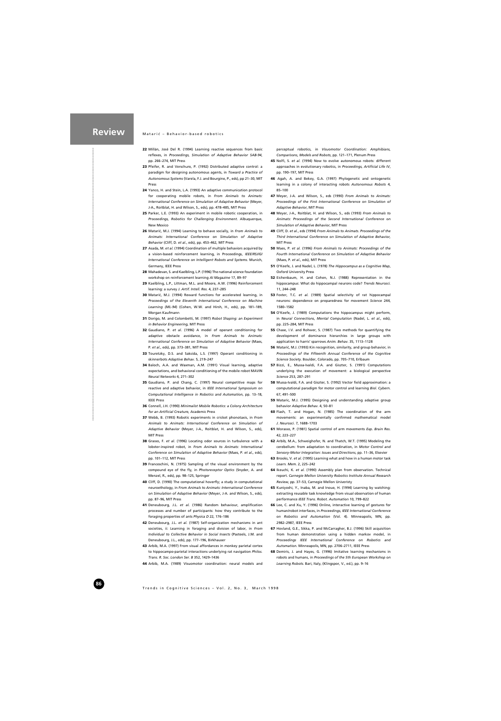### **Review** Matarić - Behavior-based robotics

- **22** Millán, José Del R. (1994) Learning reactive sequences from basic reflexes, in *Proceedings, Simulation of Adaptive Behavior SAB-94*, pp. 266–274, MIT Press
- **23** Pfeifer, R. and Verschure, P. (1992) Distributed adaptive control: a paradigm for designing autonomous agents, in *Toward a Practice of Autonomous Systems* (Varela, F.J. and Bourgine, P., eds), pp 21–30, MIT Press
- **24** Yanco, H. and Stein, L.A. (1993) An adaptive communication protocol for cooperating mobile robots, in *From Animals to Animats: International Conference on Simulation of Adaptive Behavior* (Meyer, J-A., Roitblat, H. and Wilson, S., eds), pp. 478–485, MIT Press
- **25** Parker, L.E. (1993) An experiment in mobile robotic cooperation, in *Proceedings, Robotics for Challenging Environment*. Albuquerque, New Mexico
- 26 Matarić, M.J. (1994) Learning to behave socially, in *From Animals to Animats: International Conference on Simulation of Adaptive Behavior* (Cliff, D. *et al.*, eds), pp. 453–462, MIT Press
- **27** Asada, M. *et al.* (1994) Coordination of multiple behaviors acquired by a vision-based reinforcement learning, in Proceedings, *IEEE/RSJ/GI International Conference on Intelligent Robots and Systems*. Munich, Germany, IEEE Press
- **28** Mahadevan, S. and Kaelbling, L.P. (1996) The national science foundation workshop on reinforcement learning *AI Magazine* 17, 89–97
- **29** Kaelbling, L.P., Littman, M.L. and Moore, A.W. (1996) Reinforcement learning: a survey *J. Artif. Intell. Res.* 4, 237–285
- **30** Matarić, M.J. (1994) Reward functions for accelerated learning, in *Proceedings of the Eleventh International Conference on Machine Learning (ML-94*) (Cohen, W.W. and Hirsh, H., eds), pp. 181–189, Morgan Kaufmann
- **31** Dorigo, M. and Colombetti, M. (1997) *Robot Shaping: an Experiment in Behavior Engineering,* MIT Press
- **32** Gaudiano, P. *et al.* (1996) A model of operant conditioning for adaptive obstacle avoidance, in *From Animals to Animats: International Conference on Simulation of Adaptive Behavior* (Maes, P. *et al.*, eds), pp. 373–381, MIT Press
- **33** Touretzky, D.S. and Saksida, L.S. (1997) Operant conditioning in skinnerbots *Adaptive Behav.* 5, 219–247
- **34** Baloch, A.A. and Waxman, A.M. (1991) Visual learning, adaptive expectations, and behavioral conditioning of the mobile robot MAVIN *Neural Networks* 4, 271–302
- **35** Gaudiano, P. and Chang, C. (1997) Neural competitive maps for reactive and adaptive behavior, in *IEEE International Symposium on Computational Intelligence in Robotics and Automation*, pp. 13–18, IEEE Press
- **36** Connell, J.H. (1990) *Minimalist Mobile Robotics: a Colony Architecture for an Artificial Creature,* Academic Press
- **37** Webb, B. (1993) Robotic experiments in cricket phonotaxis, in *From Animals to Animats: International Conference on Simulation of Adaptive Behavior* (Meyer, J-A., Roitblat, H. and Wilson, S., eds), MIT Press
- **38** Grasso, F. *et al.* (1996) Locating odor sources in turbulence with a lobster-inspired robot, in *From Animals to Animats: International Conference on Simulation of Adaptive Behavior* (Maes, P. *et al.,* eds), pp. 101–112, MIT Press
- **39** Franceschini, N. (1975) Sampling of the visual environment by the compound eye of the fly, in *Photoreceptor Optics* (Snyder, A. and Menzel, R., eds), pp. 98–125, Springer
- **40** Cliff, D. (1990) The computational hoverfly; a study in computational neuroethology, in *From Animals to Animats: International Conference on Simulation of Adaptive Behavior* (Meyer, J-A. and Wilson, S., eds), pp. 87–96, MIT Press
- **41** Deneubourg, J.L. *et al.* (1986) Random behaviour, amplification processes and number of participants: how they contribute to the foraging properties of ants *Physica D* 22, 176–186
- **42** Deneubourg, J.L. *et al.* (1987) Self-organization mechanisms in ant societies, ii: Learning in foraging and division of labor, in *From Individual to Collective Behavior in Social Insects* (Pasteels, J.M. and Deneubourg, J.L., eds), pp. 177–196, Birkhauser
- **43** Arbib, M.A. (1997) From visual affordances in monkey parietal cortex to hippocampo-parietal interactions underlying rat navigation *Philos. Trans. R. Soc. London Ser. B* 352, 1429–1436
- **44** Arbib, M.A. (1989) Visuomotor coordination: neural models and

perceptual robotics, in *Visuomotor Coordination: Amphibians, Comparisons, Models and Robots*, pp. 121–171, Plenum Press

- **45** Nolfi, S. *et al.* (1994) Now to evolve autonomous robots: different approaches in evolutionary robotics, in *Proceedings, Artificial Life IV*, pp. 190–197, MIT Press
- **46** Agah, A. and Bekey, G.A. (1997) Phylogenetic and ontogenetic learning in a colony of interacting robots *Autonomous Robots* 4, 85–100
- **47** Meyer, J-A. and Wilson, S., eds (1990) *From Animals to Animats: Proceedings of the First International Conference on Simulation of Adaptive Behavior*, MIT Press
- **48** Meyer, J-A., Roitblat, H. and Wilson, S., eds (1993) *From Animals to Animats: Proceedings of the Second International Conference on Simulation of Adaptive Behavior*, MIT Press
- **49** Cliff, D. *et al.*, eds (1994) *From Animals to Animats. Proceedings of the Third International Conference on Simulation of Adaptive Behavior,* MIT Press
- **50** Maes, P. *et al.* (1996) *From Animals to Animats: Proceedings of the Fourth International Conference on Simulation of Adaptive Behavior* (Maes, P. *et al.*, eds), MIT Press
- **51** O'Keefe, J. and Nadel, L. (1978) *The Hippocampus as a Cognitive Map*, Oxford University Press
- **52** Eichenbaum, H. and Cohen, N.J. (1988) Representation in the hippocampus: What do hippocampal neurons code? *Trends Neurosci.* 11, 244–248
- **53** Foster, T.C. *et al.* (1989) Spatial selectivity of rat hippocampal neurons: dependence on preparedness for movement *Science* 244, 1580–1582
- **54** O'Keefe, J. (1989) Computations the hippocampus might perform, in *Neural Connections, Mental Computation* (Nadel, L. *et al.*, eds), pp. 225–284, MIT Press
- **55** Chase, I.V. and Rohwer, S. (1987) Two methods for quantifying the development of dominance hierarchies in large groups with application to harris' sparrows *Anim. Behav*. 35, 1113–1128
- **56** Matarić, M.J. (1993) Kin recognition, similarity, and group behavior, in *Proceedings of the Fifteenth Annual Conference of the Cognitive Science Society*. Boulder, Colorado, pp. 705–710, Erlbaum
- **57** Bizzi, E., Mussa-Ivaldi, F.A. and Giszter, S. (1991) Computations underlying the execution of movement: a biological perspective *Science* 253, 287–291
- **58** Mussa-Ivaldi, F.A. and Giszter, S. (1992) Vector field approximation: a computational paradigm for motor control and learning *Biol. Cybern.* 67, 491–500
- **59** Mataric, M.J. (1995) Designing and understanding adaptive group behavior *Adaptive Behav.* 4, 50–81
- **60** Flash, T. and Hogan, N. (1985) The coordination of the arm movements: an experimentally confirmed mathematical model *J. Neurosci*. 7, 1688–1703
- **61** Morasso, P. (1981) Spatial control of arm movements *Exp. Brain Res.* 42, 223–227
- **62** Arbib, M.A., Schweighofer, N. and Thatch, W.T. (1995) Modeling the cerebellum: from adaptation to coordination, in *Motor Control and Sensory-Motor Integration: Issues and Directions*, pp. 11–36, Elsevier
- **63** Brooks, V. *et al.* (1995) Learning what and how in a human motor task *Learn. Mem.* 2, 225–242
- **64** Ikeuchi, K. *et al.* (1990) Assembly plan from observation. Technical report. *Carnegie Mellon University Robotics Institute Annual Research Review*, pp. 37–53, Carnegie Mellon Univeristy
- **65** Kuniyoshi, Y., Inaba, M. and Inoue, H. (1994) Learning by watching: extracting reusable task knowledge from visual observation of human performance *IEEE Trans. Robot. Automation* 10, 799–822
- **66** Lee, C. and Xu, Y. (1996) Online, interactive learning of gestures for human/robot interfaces, in *Proceedings, IEEE International Conference on Robotics and Automation* (Vol. 4). Minneapolis, MN, pp. 2982–2987, IEEE Press
- **67** Hovland, G.E., Sikka, P. and McCarragher, B.J. (1996) Skill acquisition from human demonstration using a hidden markov model, in *Proceedings IEEE International Conference on Robotics and Automation*. Minneapolis, MN, pp. 2706–2711, IEEE Press
- **68** Demiris, J. and Hayes, G. (1996) Imitative learning mechanisms in robots and humans, in *Proceedings of the 5th European Workshop on Learning Robots.* Bari, Italy, (Klingspor, V., ed.), pp. 9–16